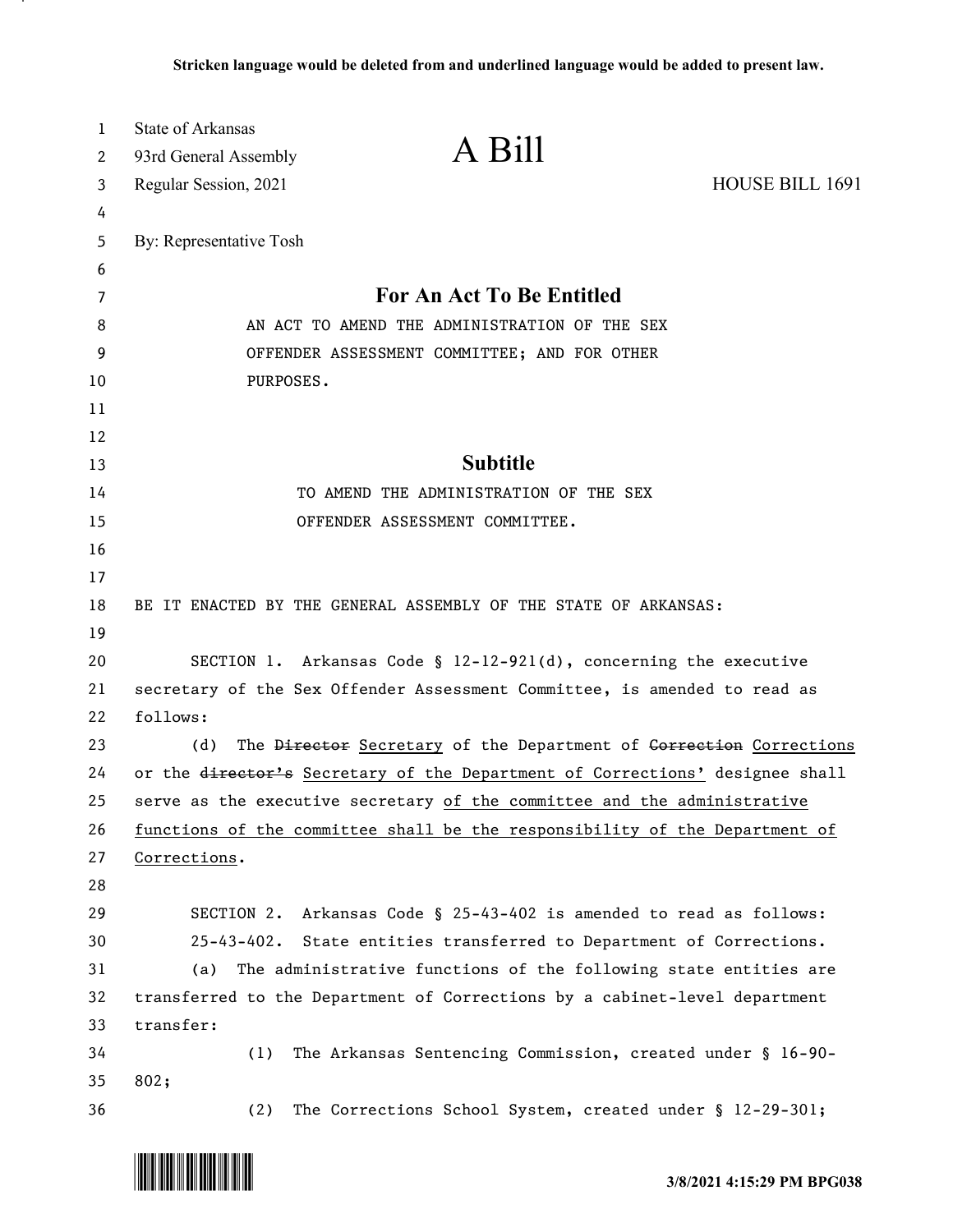| $\mathbf 1$ | <b>State of Arkansas</b>                                                     | A Bill                                                     |                 |
|-------------|------------------------------------------------------------------------------|------------------------------------------------------------|-----------------|
| 2           | 93rd General Assembly                                                        |                                                            |                 |
| 3           | Regular Session, 2021                                                        |                                                            | HOUSE BILL 1691 |
| 4           |                                                                              |                                                            |                 |
| 5           | By: Representative Tosh                                                      |                                                            |                 |
| 6           |                                                                              | For An Act To Be Entitled                                  |                 |
| 7<br>8      | AN ACT TO AMEND THE ADMINISTRATION OF THE SEX                                |                                                            |                 |
| 9           | OFFENDER ASSESSMENT COMMITTEE; AND FOR OTHER                                 |                                                            |                 |
| 10          | PURPOSES.                                                                    |                                                            |                 |
| 11          |                                                                              |                                                            |                 |
| 12          |                                                                              |                                                            |                 |
| 13          |                                                                              | <b>Subtitle</b>                                            |                 |
| 14          | TO AMEND THE ADMINISTRATION OF THE SEX                                       |                                                            |                 |
| 15          | OFFENDER ASSESSMENT COMMITTEE.                                               |                                                            |                 |
| 16          |                                                                              |                                                            |                 |
| 17          |                                                                              |                                                            |                 |
| 18          | BE IT ENACTED BY THE GENERAL ASSEMBLY OF THE STATE OF ARKANSAS:              |                                                            |                 |
| 19          |                                                                              |                                                            |                 |
| 20          | SECTION 1. Arkansas Code § $12-12-921(d)$ , concerning the executive         |                                                            |                 |
| 21          | secretary of the Sex Offender Assessment Committee, is amended to read as    |                                                            |                 |
| 22          | follows:                                                                     |                                                            |                 |
| 23          | The Director Secretary of the Department of Gorrection Corrections<br>(d)    |                                                            |                 |
| 24          | or the director's Secretary of the Department of Corrections' designee shall |                                                            |                 |
| 25          | serve as the executive secretary of the committee and the administrative     |                                                            |                 |
| 26          | functions of the committee shall be the responsibility of the Department of  |                                                            |                 |
| 27          | Corrections.                                                                 |                                                            |                 |
| 28          |                                                                              |                                                            |                 |
| 29          | SECTION 2.                                                                   | Arkansas Code § 25-43-402 is amended to read as follows:   |                 |
| 30          | 25-43-402. State entities transferred to Department of Corrections.          |                                                            |                 |
| 31          | The administrative functions of the following state entities are<br>(a)      |                                                            |                 |
| 32          | transferred to the Department of Corrections by a cabinet-level department   |                                                            |                 |
| 33          | transfer:                                                                    |                                                            |                 |
| 34          | (1)                                                                          | The Arkansas Sentencing Commission, created under § 16-90- |                 |
| 35          | 802;                                                                         |                                                            |                 |
| 36          | (2)                                                                          | The Corrections School System, created under § 12-29-301;  |                 |